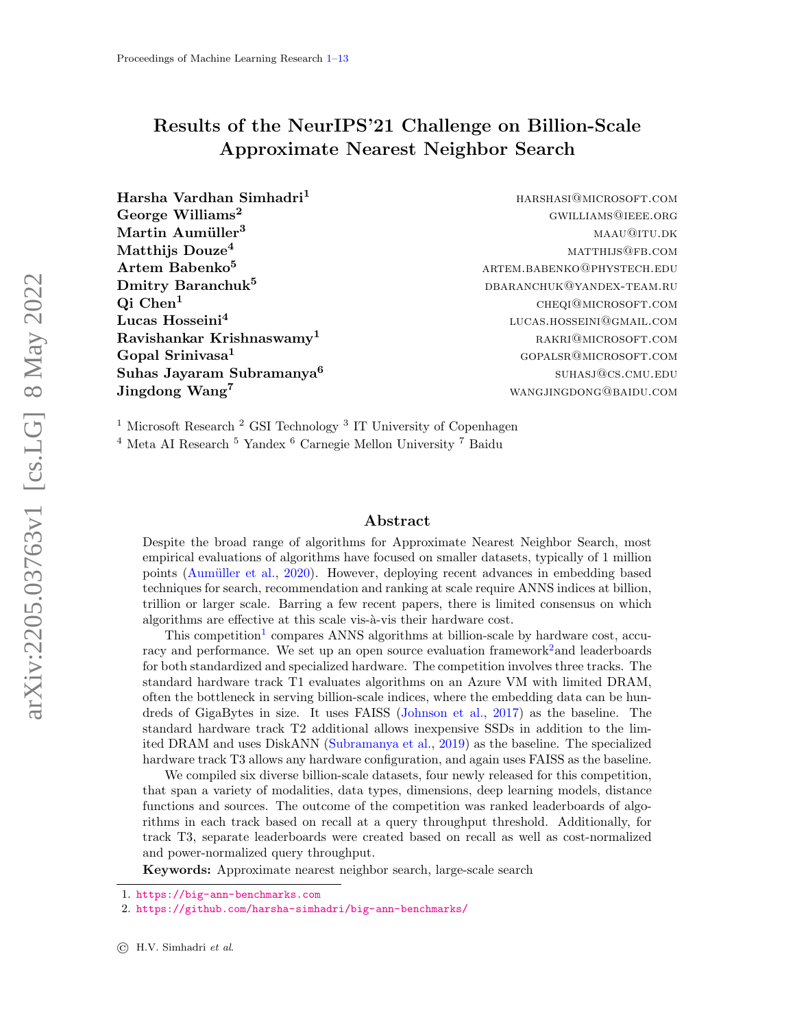# <span id="page-0-0"></span>Results of the NeurIPS'21 Challenge on Billion-Scale Approximate Nearest Neighbor Search

Harsha Vardhan Simhadri<sup>1</sup> harshasi@microsoft.com George Williams<sup>2</sup> GWILLIAMS<sup>QIEEE</sup>.ORG  $\mathbf{Martin\; Aumüller}^3$  matrix and the matrix of  $\mathbf{M}\mathbf{A}$  matrix  $\mathbf{M}\mathbf{A}$  matrix  $\mathbf{M}\mathbf{A}$  matrix  $\mathbf{M}\mathbf{A}$  matrix  $\mathbf{M}\mathbf{A}$  matrix  $\mathbf{M}\mathbf{A}$  matrix  $\mathbf{M}\mathbf{A}$  matrix  $\mathbf{M}\mathbf{A}$  matrix  $\mathbf{M}\mathbf{A$  $\mathrm{Matthijs\; Douze}^4$  matthijs  $\mathrm{Douze}^4$  $\rm{Artem\; Babenko}^{5}$  artem.babenko@phystech.edu Dmitry Baranchuk<sup>5</sup> dbaranchuk<sup>5</sup> dbaranchuk@yandex-team.ru  $Qi$  Chen<sup>1</sup> cheqi@microsoft.com Lucas Hosseini<sup>4</sup>  $\textbf{Ravishankar}$  Krishnaswamy<sup>1</sup>  $\text{RAKRI@MICROS OF T. COM}$ Gopal Srinivasa<sup>1</sup> and South States and Gopals and Gopalsram gopalsram and Gopalsram and Gopalsram and Gopalsram and Gopalsram and Gopalsram and Gopalsram and Gopalsram and Gopalsram and Gopalsram and Gopalsram and Gopalsr Suhas Jayaram Subramanya<sup>6</sup> Jingdong Wang<sup>7</sup> wanglingdong wang wangjing books wang wangjingdong the set of the set of the set of the set of the set of the set of the set of the set of the set of the set of the set of the set of the set of the set of

lucas.hosseini@gmail.com suhasj@cs.cmu.edu

<sup>1</sup> Microsoft Research<sup>2</sup> GSI Technology<sup>3</sup> IT University of Copenhagen

<sup>4</sup> Meta AI Research <sup>5</sup> Yandex <sup>6</sup> Carnegie Mellon University <sup>7</sup> Baidu

#### Abstract

Despite the broad range of algorithms for Approximate Nearest Neighbor Search, most empirical evaluations of algorithms have focused on smaller datasets, typically of 1 million points (Aumüller et al., [2020\)](#page-10-0). However, deploying recent advances in embedding based techniques for search, recommendation and ranking at scale require ANNS indices at billion, trillion or larger scale. Barring a few recent papers, there is limited consensus on which algorithms are effective at this scale vis- $\hat{a}$ -vis their hardware cost.

This competition<sup>[1](#page-0-1)</sup> compares ANNS algorithms at billion-scale by hardware cost, accu-racy and performance. We set up an open source evaluation framework<sup>[2](#page-0-2)</sup> and leaderboards for both standardized and specialized hardware. The competition involves three tracks. The standard hardware track T1 evaluates algorithms on an Azure VM with limited DRAM, often the bottleneck in serving billion-scale indices, where the embedding data can be hundreds of GigaBytes in size. It uses FAISS [\(Johnson et al.,](#page-11-0) [2017\)](#page-11-0) as the baseline. The standard hardware track T2 additional allows inexpensive SSDs in addition to the limited DRAM and uses DiskANN [\(Subramanya et al.,](#page-12-1) [2019\)](#page-12-1) as the baseline. The specialized hardware track T3 allows any hardware configuration, and again uses FAISS as the baseline.

We compiled six diverse billion-scale datasets, four newly released for this competition, that span a variety of modalities, data types, dimensions, deep learning models, distance functions and sources. The outcome of the competition was ranked leaderboards of algorithms in each track based on recall at a query throughput threshold. Additionally, for track T3, separate leaderboards were created based on recall as well as cost-normalized and power-normalized query throughput.

Keywords: Approximate nearest neighbor search, large-scale search

<span id="page-0-1"></span><sup>1.</sup> <https://big-ann-benchmarks.com>

<span id="page-0-2"></span><sup>2.</sup> <https://github.com/harsha-simhadri/big-ann-benchmarks/>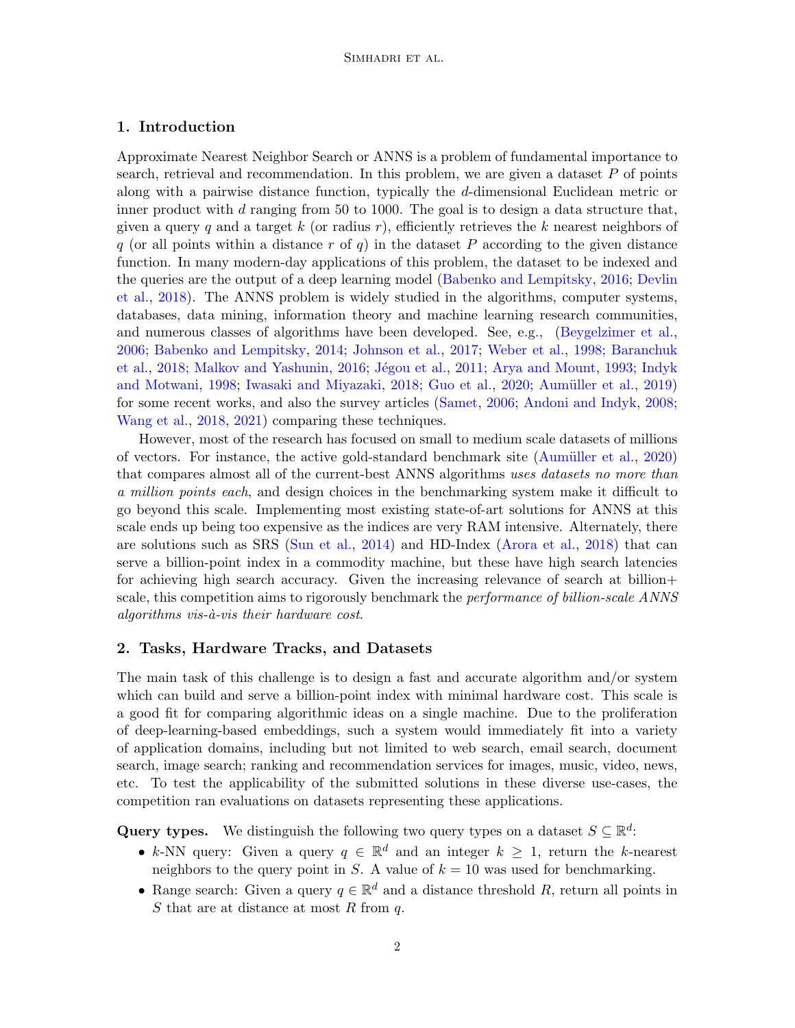### 1. Introduction

Approximate Nearest Neighbor Search or ANNS is a problem of fundamental importance to search, retrieval and recommendation. In this problem, we are given a dataset  $P$  of points along with a pairwise distance function, typically the d-dimensional Euclidean metric or inner product with  $d$  ranging from 50 to 1000. The goal is to design a data structure that, given a query q and a target k (or radius  $r$ ), efficiently retrieves the k nearest neighbors of q (or all points within a distance r of q) in the dataset P according to the given distance function. In many modern-day applications of this problem, the dataset to be indexed and the queries are the output of a deep learning model [\(Babenko and Lempitsky,](#page-10-1) [2016;](#page-10-1) [Devlin](#page-10-2) [et al.,](#page-10-2) [2018\)](#page-10-2). The ANNS problem is widely studied in the algorithms, computer systems, databases, data mining, information theory and machine learning research communities, and numerous classes of algorithms have been developed. See, e.g., [\(Beygelzimer et al.,](#page-10-3) [2006;](#page-10-3) [Babenko and Lempitsky,](#page-10-4) [2014;](#page-10-4) [Johnson et al.,](#page-11-0) [2017;](#page-11-0) [Weber et al.,](#page-12-2) [1998;](#page-12-2) [Baranchuk](#page-10-5) [et al.,](#page-10-5) [2018;](#page-10-5) [Malkov and Yashunin,](#page-11-1) [2016;](#page-11-1) Jégou et al., [2011;](#page-11-2) [Arya and Mount,](#page-10-6) [1993;](#page-10-6) [Indyk](#page-11-3) [and Motwani,](#page-11-3) [1998;](#page-11-3) [Iwasaki and Miyazaki,](#page-11-4) [2018;](#page-11-4) [Guo et al.,](#page-11-5) [2020;](#page-11-5) Aumüller et al., [2019\)](#page-10-7) for some recent works, and also the survey articles [\(Samet,](#page-11-6) [2006;](#page-11-6) [Andoni and Indyk,](#page-10-8) [2008;](#page-10-8) [Wang et al.,](#page-12-3) [2018,](#page-12-3) [2021\)](#page-12-4) comparing these techniques.

However, most of the research has focused on small to medium scale datasets of millions of vectors. For instance, the active gold-standard benchmark site (Aumüller et al., [2020\)](#page-10-0) that compares almost all of the current-best ANNS algorithms uses datasets no more than a million points each, and design choices in the benchmarking system make it difficult to go beyond this scale. Implementing most existing state-of-art solutions for ANNS at this scale ends up being too expensive as the indices are very RAM intensive. Alternately, there are solutions such as SRS [\(Sun et al.,](#page-12-5) [2014\)](#page-12-5) and HD-Index [\(Arora et al.,](#page-10-9) [2018\)](#page-10-9) that can serve a billion-point index in a commodity machine, but these have high search latencies for achieving high search accuracy. Given the increasing relevance of search at billion+ scale, this competition aims to rigorously benchmark the *performance of billion-scale ANNS* algorithms vis- $\dot{a}$ -vis their hardware cost.

### 2. Tasks, Hardware Tracks, and Datasets

The main task of this challenge is to design a fast and accurate algorithm and/or system which can build and serve a billion-point index with minimal hardware cost. This scale is a good fit for comparing algorithmic ideas on a single machine. Due to the proliferation of deep-learning-based embeddings, such a system would immediately fit into a variety of application domains, including but not limited to web search, email search, document search, image search; ranking and recommendation services for images, music, video, news, etc. To test the applicability of the submitted solutions in these diverse use-cases, the competition ran evaluations on datasets representing these applications.

Query types. We distinguish the following two query types on a dataset  $S \subseteq \mathbb{R}^d$ :

- k-NN query: Given a query  $q \in \mathbb{R}^d$  and an integer  $k \geq 1$ , return the k-nearest neighbors to the query point in S. A value of  $k = 10$  was used for benchmarking.
- Range search: Given a query  $q \in \mathbb{R}^d$  and a distance threshold R, return all points in S that are at distance at most R from  $q$ .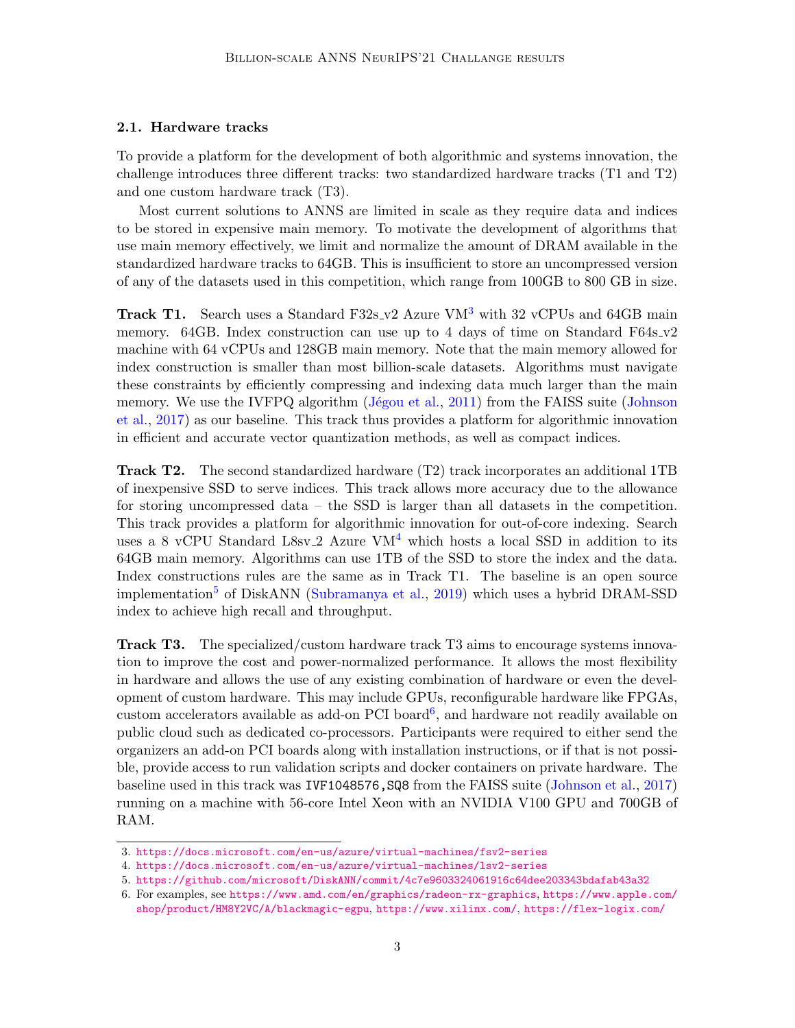#### <span id="page-2-4"></span>2.1. Hardware tracks

To provide a platform for the development of both algorithmic and systems innovation, the challenge introduces three different tracks: two standardized hardware tracks (T1 and T2) and one custom hardware track (T3).

Most current solutions to ANNS are limited in scale as they require data and indices to be stored in expensive main memory. To motivate the development of algorithms that use main memory effectively, we limit and normalize the amount of DRAM available in the standardized hardware tracks to 64GB. This is insufficient to store an uncompressed version of any of the datasets used in this competition, which range from 100GB to 800 GB in size.

Track T1. Search uses a Standard F[3](#page-2-0)2s\_v2 Azure VM<sup>3</sup> with 32 vCPUs and 64GB main memory. 64GB. Index construction can use up to 4 days of time on Standard F64s\_v2 machine with 64 vCPUs and 128GB main memory. Note that the main memory allowed for index construction is smaller than most billion-scale datasets. Algorithms must navigate these constraints by efficiently compressing and indexing data much larger than the main memory. We use the IVFPQ algorithm  $(Jégou et al., 2011)$  $(Jégou et al., 2011)$  from the FAISS suite [\(Johnson](#page-11-0) [et al.,](#page-11-0) [2017\)](#page-11-0) as our baseline. This track thus provides a platform for algorithmic innovation in efficient and accurate vector quantization methods, as well as compact indices.

Track T2. The second standardized hardware (T2) track incorporates an additional 1TB of inexpensive SSD to serve indices. This track allows more accuracy due to the allowance for storing uncompressed data – the SSD is larger than all datasets in the competition. This track provides a platform for algorithmic innovation for out-of-core indexing. Search uses a 8 vCPU Standard L8sv<sub>-2</sub> Azure VM<sup>[4](#page-2-1)</sup> which hosts a local SSD in addition to its 64GB main memory. Algorithms can use 1TB of the SSD to store the index and the data. Index constructions rules are the same as in Track T1. The baseline is an open source implementation<sup>[5](#page-2-2)</sup> of DiskANN [\(Subramanya et al.,](#page-12-1) [2019\)](#page-12-1) which uses a hybrid DRAM-SSD index to achieve high recall and throughput.

Track T3. The specialized/custom hardware track T3 aims to encourage systems innovation to improve the cost and power-normalized performance. It allows the most flexibility in hardware and allows the use of any existing combination of hardware or even the development of custom hardware. This may include GPUs, reconfigurable hardware like FPGAs, custom accelerators available as add-on PCI board<sup>[6](#page-2-3)</sup>, and hardware not readily available on public cloud such as dedicated co-processors. Participants were required to either send the organizers an add-on PCI boards along with installation instructions, or if that is not possible, provide access to run validation scripts and docker containers on private hardware. The baseline used in this track was IVF1048576,SQ8 from the FAISS suite [\(Johnson et al.,](#page-11-0) [2017\)](#page-11-0) running on a machine with 56-core Intel Xeon with an NVIDIA V100 GPU and 700GB of RAM.

<span id="page-2-0"></span><sup>3.</sup> <https://docs.microsoft.com/en-us/azure/virtual-machines/fsv2-series>

<span id="page-2-2"></span><span id="page-2-1"></span><sup>4.</sup> <https://docs.microsoft.com/en-us/azure/virtual-machines/lsv2-series>

<sup>5.</sup> <https://github.com/microsoft/DiskANN/commit/4c7e9603324061916c64dee203343bdafab43a32>

<span id="page-2-3"></span><sup>6.</sup> For examples, see <https://www.amd.com/en/graphics/radeon-rx-graphics>, [https://www.apple.com/](https://www.apple.com/shop/product/HM8Y2VC/A/blackmagic-egpu) [shop/product/HM8Y2VC/A/blackmagic-egpu](https://www.apple.com/shop/product/HM8Y2VC/A/blackmagic-egpu), <https://www.xilinx.com/>, <https://flex-logix.com/>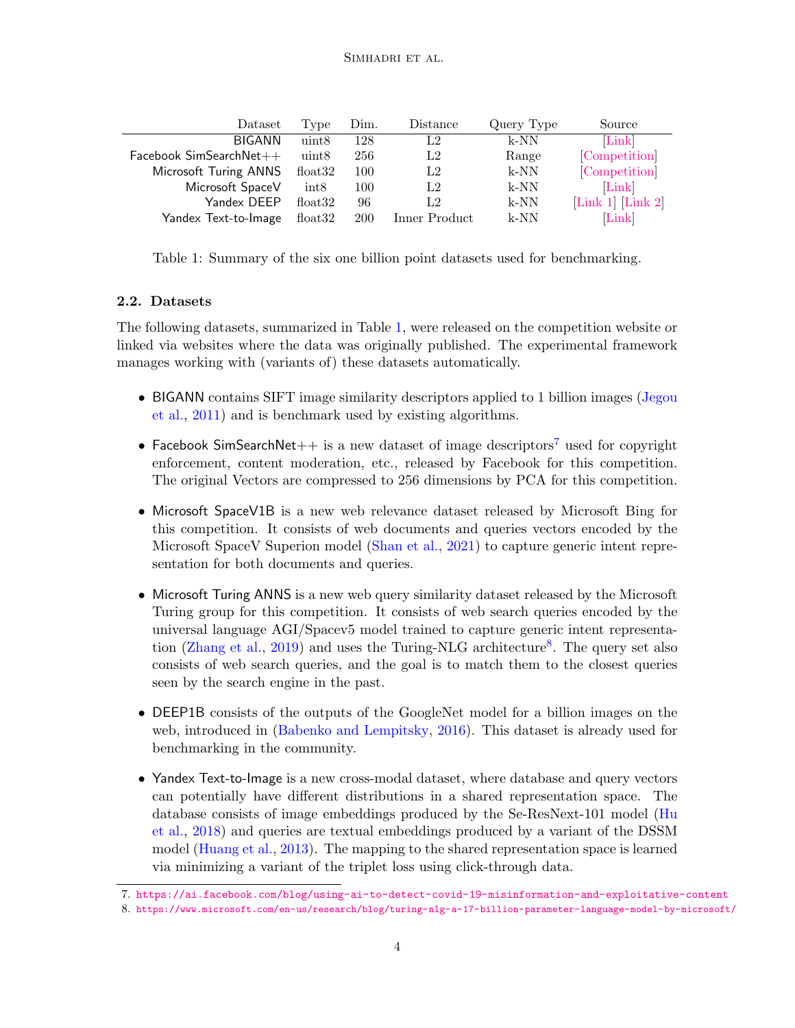| Dataset                   | Type    | Dim.       | Distance      | Query Type | Source                                                |
|---------------------------|---------|------------|---------------|------------|-------------------------------------------------------|
| <b>BIGANN</b>             | uint8   | 128        | L2            | $k-NN$     | Link                                                  |
| $Facebook SimSearchNet++$ | uint8   | 256        | L2            | Range      | Competition                                           |
| Microsoft Turing ANNS     | float32 | 100        | L2            | $k-NN$     | Competition                                           |
| Microsoft SpaceV          | int8    | 100        | L2            | k-NN       | Link                                                  |
| Yandex DEEP               | float32 | 96         | L2            | $k-NN$     | $\lfloor$ Link 1 $\rfloor$ $\lfloor$ Link 2 $\rfloor$ |
| Yandex Text-to-Image      | float32 | <b>200</b> | Inner Product | $k-NN$     | Link                                                  |

<span id="page-3-0"></span>Table 1: Summary of the six one billion point datasets used for benchmarking.

### 2.2. Datasets

The following datasets, summarized in Table [1,](#page-3-0) were released on the competition website or linked via websites where the data was originally published. The experimental framework manages working with (variants of) these datasets automatically.

- BIGANN contains SIFT image similarity descriptors applied to 1 billion images [\(Jegou](#page-11-7) [et al.,](#page-11-7) [2011\)](#page-11-7) and is benchmark used by existing algorithms.
- Facebook SimSearchNet $++$  is a new dataset of image descriptors<sup>[7](#page-3-1)</sup> used for copyright enforcement, content moderation, etc., released by Facebook for this competition. The original Vectors are compressed to 256 dimensions by PCA for this competition.
- Microsoft SpaceV1B is a new web relevance dataset released by Microsoft Bing for this competition. It consists of web documents and queries vectors encoded by the Microsoft SpaceV Superion model [\(Shan et al.,](#page-11-8) [2021\)](#page-11-8) to capture generic intent representation for both documents and queries.
- Microsoft Turing ANNS is a new web query similarity dataset released by the Microsoft Turing group for this competition. It consists of web search queries encoded by the universal language AGI/Spacev5 model trained to capture generic intent representa-tion [\(Zhang et al.,](#page-12-6) [2019\)](#page-12-6) and uses the Turing-NLG architecture<sup>[8](#page-3-2)</sup>. The query set also consists of web search queries, and the goal is to match them to the closest queries seen by the search engine in the past.
- DEEP1B consists of the outputs of the GoogleNet model for a billion images on the web, introduced in [\(Babenko and Lempitsky,](#page-10-1) [2016\)](#page-10-1). This dataset is already used for benchmarking in the community.
- Yandex Text-to-Image is a new cross-modal dataset, where database and query vectors can potentially have different distributions in a shared representation space. The database consists of image embeddings produced by the Se-ResNext-101 model [\(Hu](#page-11-9) [et al.,](#page-11-9) [2018\)](#page-11-9) and queries are textual embeddings produced by a variant of the DSSM model [\(Huang et al.,](#page-11-10) [2013\)](#page-11-10). The mapping to the shared representation space is learned via minimizing a variant of the triplet loss using click-through data.

<span id="page-3-1"></span><sup>7.</sup> <https://ai.facebook.com/blog/using-ai-to-detect-covid-19-misinformation-and-exploitative-content>

<span id="page-3-2"></span><sup>8.</sup> <https://www.microsoft.com/en-us/research/blog/turing-nlg-a-17-billion-parameter-language-model-by-microsoft/>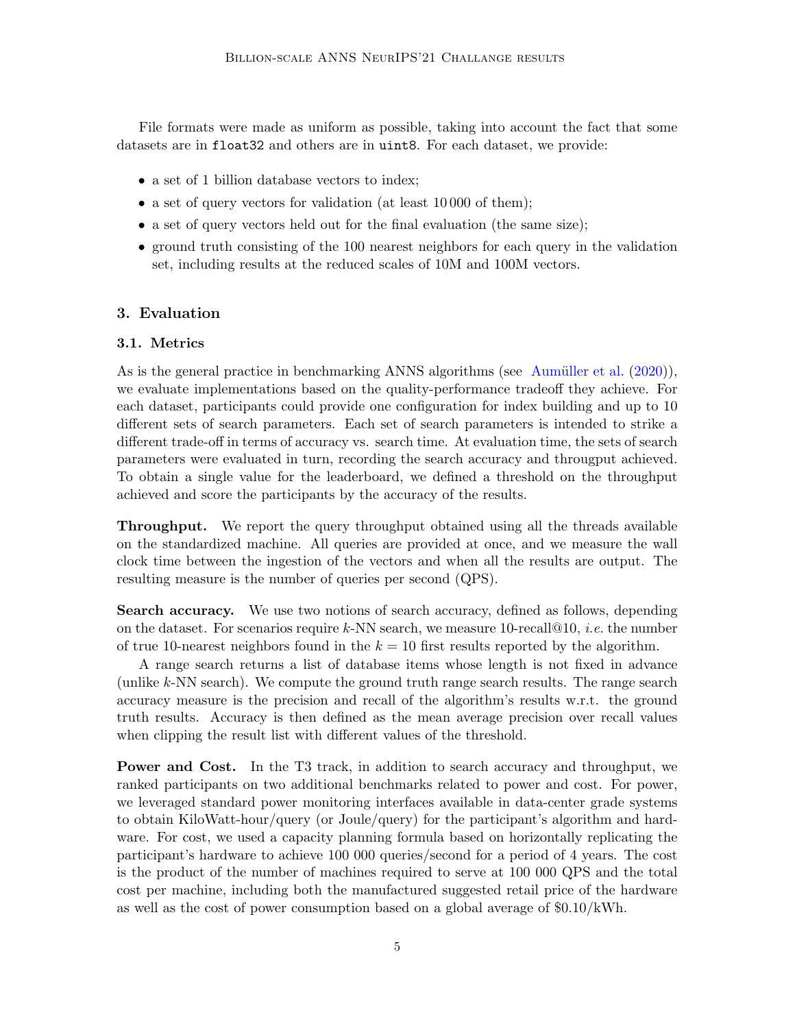File formats were made as uniform as possible, taking into account the fact that some datasets are in float32 and others are in uint8. For each dataset, we provide:

- a set of 1 billion database vectors to index;
- a set of query vectors for validation (at least 10 000 of them);
- a set of query vectors held out for the final evaluation (the same size);
- ground truth consisting of the 100 nearest neighbors for each query in the validation set, including results at the reduced scales of 10M and 100M vectors.

### 3. Evaluation

### 3.1. Metrics

As is the general practice in benchmarking ANNS algorithms (see Aumüller et al.  $(2020)$ ), we evaluate implementations based on the quality-performance tradeoff they achieve. For each dataset, participants could provide one configuration for index building and up to 10 different sets of search parameters. Each set of search parameters is intended to strike a different trade-off in terms of accuracy vs. search time. At evaluation time, the sets of search parameters were evaluated in turn, recording the search accuracy and througput achieved. To obtain a single value for the leaderboard, we defined a threshold on the throughput achieved and score the participants by the accuracy of the results.

Throughput. We report the query throughput obtained using all the threads available on the standardized machine. All queries are provided at once, and we measure the wall clock time between the ingestion of the vectors and when all the results are output. The resulting measure is the number of queries per second (QPS).

Search accuracy. We use two notions of search accuracy, defined as follows, depending on the dataset. For scenarios require k-NN search, we measure 10-recall  $@10$ , *i.e.* the number of true 10-nearest neighbors found in the  $k = 10$  first results reported by the algorithm.

A range search returns a list of database items whose length is not fixed in advance (unlike  $k$ -NN search). We compute the ground truth range search results. The range search accuracy measure is the precision and recall of the algorithm's results w.r.t. the ground truth results. Accuracy is then defined as the mean average precision over recall values when clipping the result list with different values of the threshold.

Power and Cost. In the T3 track, in addition to search accuracy and throughput, we ranked participants on two additional benchmarks related to power and cost. For power, we leveraged standard power monitoring interfaces available in data-center grade systems to obtain KiloWatt-hour/query (or Joule/query) for the participant's algorithm and hardware. For cost, we used a capacity planning formula based on horizontally replicating the participant's hardware to achieve 100 000 queries/second for a period of 4 years. The cost is the product of the number of machines required to serve at 100 000 QPS and the total cost per machine, including both the manufactured suggested retail price of the hardware as well as the cost of power consumption based on a global average of  $$0.10/kWh$ .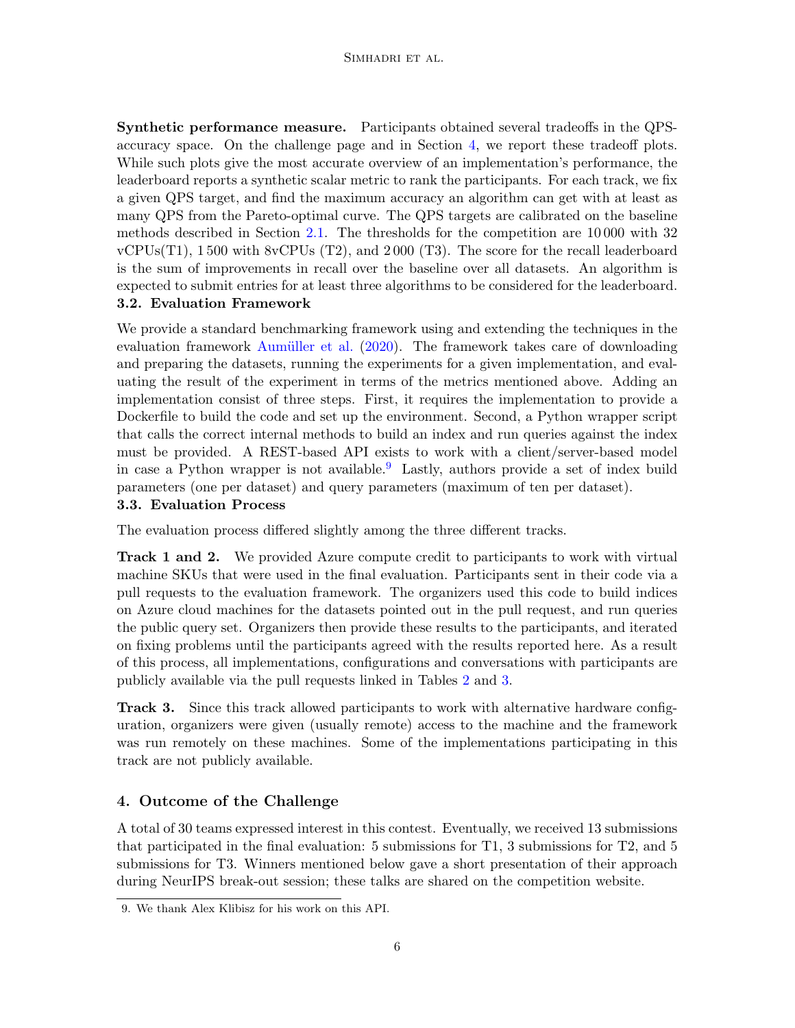#### SIMHADRI ET AL.

Synthetic performance measure. Participants obtained several tradeoffs in the QPSaccuracy space. On the challenge page and in Section [4,](#page-5-0) we report these tradeoff plots. While such plots give the most accurate overview of an implementation's performance, the leaderboard reports a synthetic scalar metric to rank the participants. For each track, we fix a given QPS target, and find the maximum accuracy an algorithm can get with at least as many QPS from the Pareto-optimal curve. The QPS targets are calibrated on the baseline methods described in Section [2.1.](#page-2-4) The thresholds for the competition are 10 000 with 32 vCPUs(T1), 1 500 with 8vCPUs (T2), and 2 000 (T3). The score for the recall leaderboard is the sum of improvements in recall over the baseline over all datasets. An algorithm is expected to submit entries for at least three algorithms to be considered for the leaderboard. 3.2. Evaluation Framework

We provide a standard benchmarking framework using and extending the techniques in the evaluation framework Aumüller et al.  $(2020)$ . The framework takes care of downloading and preparing the datasets, running the experiments for a given implementation, and evaluating the result of the experiment in terms of the metrics mentioned above. Adding an implementation consist of three steps. First, it requires the implementation to provide a Dockerfile to build the code and set up the environment. Second, a Python wrapper script that calls the correct internal methods to build an index and run queries against the index must be provided. A REST-based API exists to work with a client/server-based model in case a Python wrapper is not available.<sup>[9](#page-5-1)</sup> Lastly, authors provide a set of index build parameters (one per dataset) and query parameters (maximum of ten per dataset).

### 3.3. Evaluation Process

The evaluation process differed slightly among the three different tracks.

**Track 1 and 2.** We provided Azure compute credit to participants to work with virtual machine SKUs that were used in the final evaluation. Participants sent in their code via a pull requests to the evaluation framework. The organizers used this code to build indices on Azure cloud machines for the datasets pointed out in the pull request, and run queries the public query set. Organizers then provide these results to the participants, and iterated on fixing problems until the participants agreed with the results reported here. As a result of this process, all implementations, configurations and conversations with participants are publicly available via the pull requests linked in Tables [2](#page-6-0) and [3.](#page-7-0)

Track 3. Since this track allowed participants to work with alternative hardware configuration, organizers were given (usually remote) access to the machine and the framework was run remotely on these machines. Some of the implementations participating in this track are not publicly available.

### <span id="page-5-0"></span>4. Outcome of the Challenge

A total of 30 teams expressed interest in this contest. Eventually, we received 13 submissions that participated in the final evaluation: 5 submissions for T1, 3 submissions for T2, and 5 submissions for T3. Winners mentioned below gave a short presentation of their approach during NeurIPS break-out session; these talks are shared on the competition website.

<span id="page-5-1"></span><sup>9.</sup> We thank Alex Klibisz for his work on this API.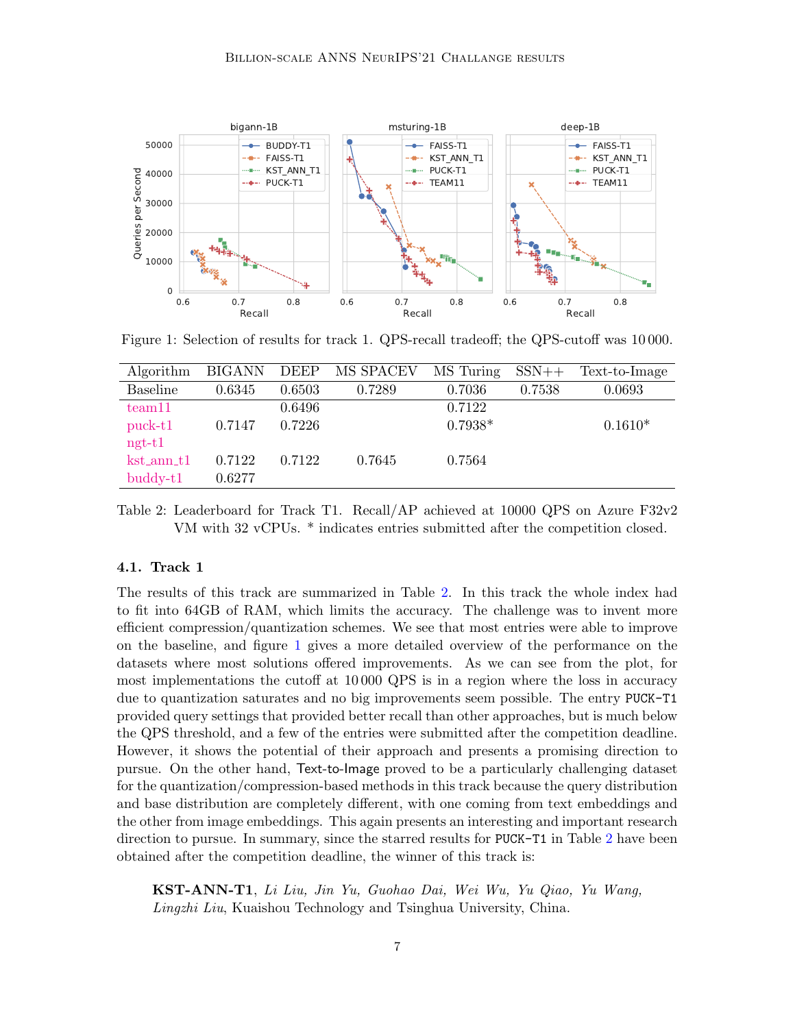

<span id="page-6-1"></span>Figure 1: Selection of results for track 1. QPS-recall tradeoff; the QPS-cutoff was 10 000.

| Algorithm         | <b>BIGANN</b> | DEEP   | MS SPACEV | MS Turing | $SSN++$ | Text-to-Image |
|-------------------|---------------|--------|-----------|-----------|---------|---------------|
| Baseline          | 0.6345        | 0.6503 | 0.7289    | 0.7036    | 0.7538  | 0.0693        |
| team11            |               | 0.6496 |           | 0.7122    |         |               |
| $puck-t1$         | 0.7147        | 0.7226 |           | $0.7938*$ |         | $0.1610*$     |
| $ngt-t1$          |               |        |           |           |         |               |
| $kst_{ann_t}$     | 0.7122        | 0.7122 | 0.7645    | 0.7564    |         |               |
| $\text{buddy-t1}$ | 0.6277        |        |           |           |         |               |

<span id="page-6-0"></span>Table 2: Leaderboard for Track T1. Recall/AP achieved at 10000 QPS on Azure F32v2 VM with 32 vCPUs. \* indicates entries submitted after the competition closed.

#### 4.1. Track 1

The results of this track are summarized in Table [2.](#page-6-0) In this track the whole index had to fit into 64GB of RAM, which limits the accuracy. The challenge was to invent more efficient compression/quantization schemes. We see that most entries were able to improve on the baseline, and figure [1](#page-6-1) gives a more detailed overview of the performance on the datasets where most solutions offered improvements. As we can see from the plot, for most implementations the cutoff at 10 000 QPS is in a region where the loss in accuracy due to quantization saturates and no big improvements seem possible. The entry PUCK-T1 provided query settings that provided better recall than other approaches, but is much below the QPS threshold, and a few of the entries were submitted after the competition deadline. However, it shows the potential of their approach and presents a promising direction to pursue. On the other hand, Text-to-Image proved to be a particularly challenging dataset for the quantization/compression-based methods in this track because the query distribution and base distribution are completely different, with one coming from text embeddings and the other from image embeddings. This again presents an interesting and important research direction to pursue. In summary, since the starred results for PUCK-T1 in Table [2](#page-6-0) have been obtained after the competition deadline, the winner of this track is:

KST-ANN-T1, Li Liu, Jin Yu, Guohao Dai, Wei Wu, Yu Qiao, Yu Wang, Lingzhi Liu, Kuaishou Technology and Tsinghua University, China.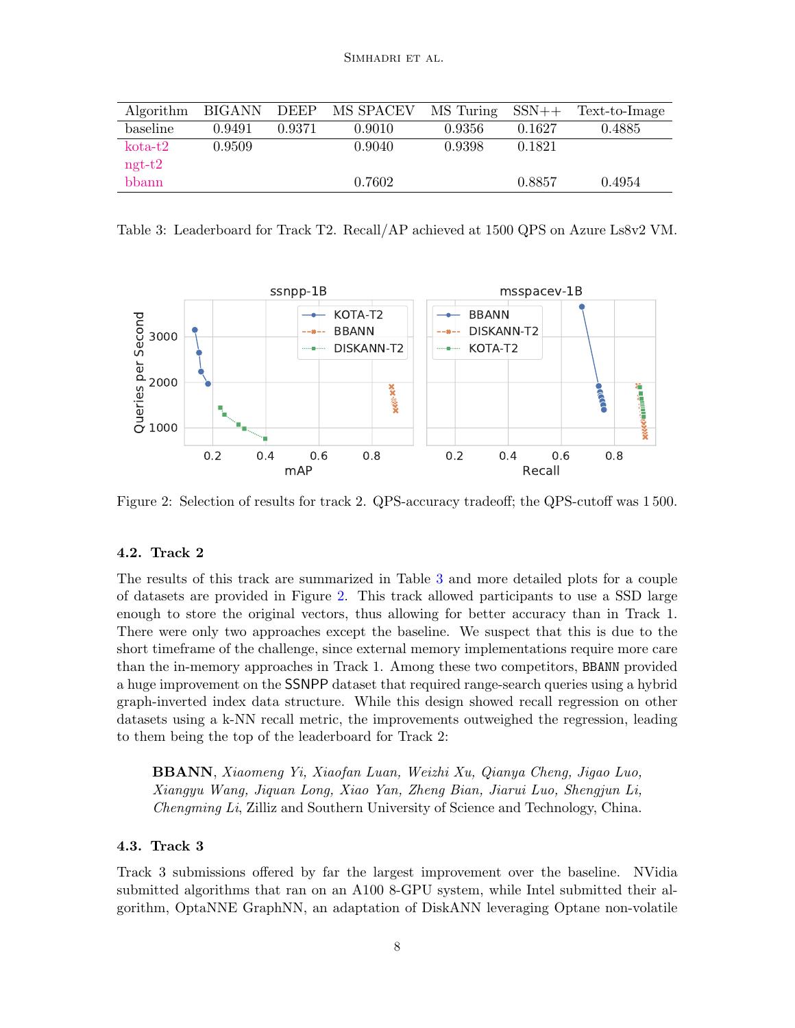| Algorithm | BIGANN DEEP |        | MS SPACEV | $\overline{MS}$ Turing $SSN++$ |        | Text-to-Image |
|-----------|-------------|--------|-----------|--------------------------------|--------|---------------|
| baseline  | 0.9491      | 0.9371 | 0.9010    | 0.9356                         | 0.1627 | 0.4885        |
| $kota-t2$ | 0.9509      |        | 0.9040    | 0.9398                         | 0.1821 |               |
| $ngt-t2$  |             |        |           |                                |        |               |
| bbann     |             |        | 0.7602    |                                | 0.8857 | 0.4954        |

<span id="page-7-0"></span>Table 3: Leaderboard for Track T2. Recall/AP achieved at 1500 QPS on Azure Ls8v2 VM.



<span id="page-7-1"></span>Figure 2: Selection of results for track 2. QPS-accuracy tradeoff; the QPS-cutoff was 1 500.

### 4.2. Track 2

The results of this track are summarized in Table [3](#page-7-0) and more detailed plots for a couple of datasets are provided in Figure [2.](#page-7-1) This track allowed participants to use a SSD large enough to store the original vectors, thus allowing for better accuracy than in Track 1. There were only two approaches except the baseline. We suspect that this is due to the short timeframe of the challenge, since external memory implementations require more care than the in-memory approaches in Track 1. Among these two competitors, BBANN provided a huge improvement on the SSNPP dataset that required range-search queries using a hybrid graph-inverted index data structure. While this design showed recall regression on other datasets using a k-NN recall metric, the improvements outweighed the regression, leading to them being the top of the leaderboard for Track 2:

BBANN, Xiaomeng Yi, Xiaofan Luan, Weizhi Xu, Qianya Cheng, Jigao Luo, Xiangyu Wang, Jiquan Long, Xiao Yan, Zheng Bian, Jiarui Luo, Shengjun Li, Chengming Li, Zilliz and Southern University of Science and Technology, China.

#### 4.3. Track 3

Track 3 submissions offered by far the largest improvement over the baseline. NVidia submitted algorithms that ran on an A100 8-GPU system, while Intel submitted their algorithm, OptaNNE GraphNN, an adaptation of DiskANN leveraging Optane non-volatile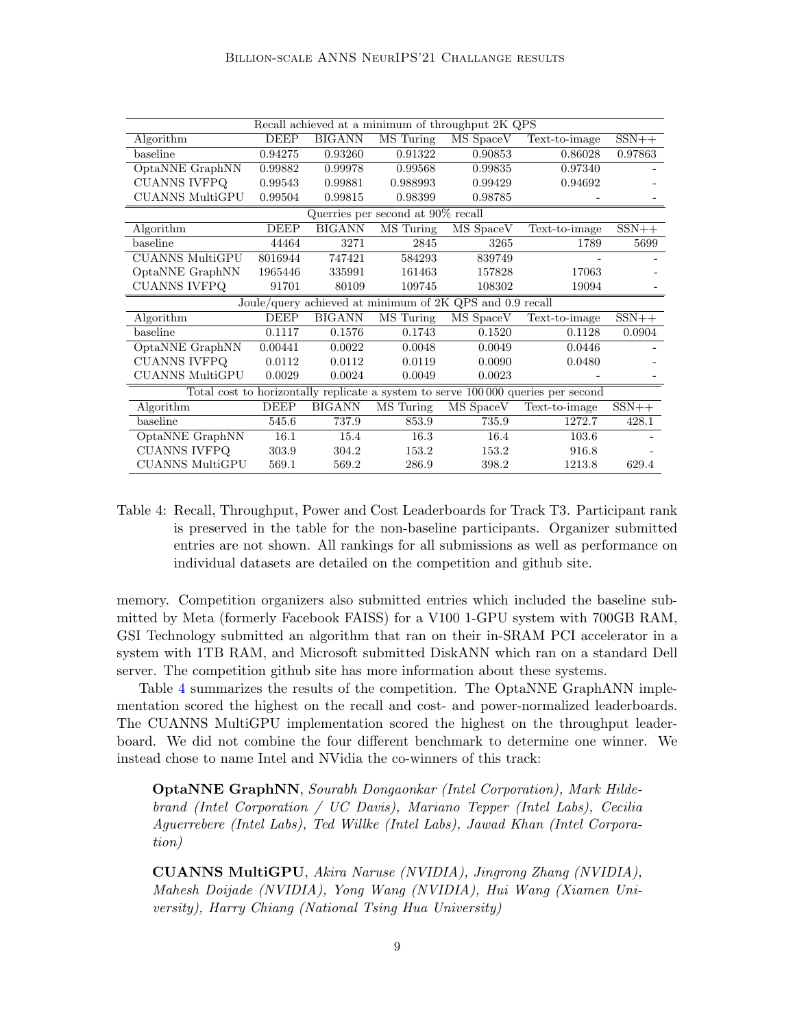| Recall achieved at a minimum of throughput 2K QPS                                 |             |               |           |           |               |         |  |  |
|-----------------------------------------------------------------------------------|-------------|---------------|-----------|-----------|---------------|---------|--|--|
| Algorithm                                                                         | <b>DEEP</b> | <b>BIGANN</b> | MS Turing | MS SpaceV | Text-to-image | $SSN++$ |  |  |
| baseline                                                                          | 0.94275     | 0.93260       | 0.91322   | 0.90853   | 0.86028       | 0.97863 |  |  |
| OptaNNE GraphNN                                                                   | 0.99882     | 0.99978       | 0.99568   | 0.99835   | 0.97340       |         |  |  |
| <b>CUANNS IVFPQ</b>                                                               | 0.99543     | 0.99881       | 0.988993  | 0.99429   | 0.94692       |         |  |  |
| <b>CUANNS MultiGPU</b>                                                            | 0.99504     | 0.99815       | 0.98399   | 0.98785   |               |         |  |  |
| Querries per second at $90\%$ recall                                              |             |               |           |           |               |         |  |  |
| Algorithm                                                                         | <b>DEEP</b> | <b>BIGANN</b> | MS Turing | MS SpaceV | Text-to-image | $SSN++$ |  |  |
| baseline                                                                          | 44464       | 3271          | 2845      | 3265      | 1789          | 5699    |  |  |
| <b>CUANNS MultiGPU</b>                                                            | 8016944     | 747421        | 584293    | 839749    |               |         |  |  |
| OptaNNE GraphNN                                                                   | 1965446     | 335991        | 161463    | 157828    | 17063         |         |  |  |
| <b>CUANNS IVFPQ</b>                                                               | 91701       | 80109         | 109745    | 108302    | 19094         |         |  |  |
| Joule/query achieved at minimum of 2K QPS and 0.9 recall                          |             |               |           |           |               |         |  |  |
| Algorithm                                                                         | <b>DEEP</b> | <b>BIGANN</b> | MS Turing | MS SpaceV | Text-to-image | $SSN++$ |  |  |
| baseline                                                                          | 0.1117      | 0.1576        | 0.1743    | 0.1520    | 0.1128        | 0.0904  |  |  |
| OptaNNE GraphNN                                                                   | 0.00441     | 0.0022        | 0.0048    | 0.0049    | 0.0446        |         |  |  |
| <b>CUANNS IVFPQ</b>                                                               | 0.0112      | 0.0112        | 0.0119    | 0.0090    | 0.0480        |         |  |  |
| <b>CUANNS MultiGPU</b>                                                            | 0.0029      | 0.0024        | 0.0049    | 0.0023    |               |         |  |  |
| Total cost to horizontally replicate a system to serve 100 000 queries per second |             |               |           |           |               |         |  |  |
| Algorithm                                                                         |             |               |           |           |               |         |  |  |
|                                                                                   | <b>DEEP</b> | <b>BIGANN</b> | MS Turing | MS SpaceV | Text-to-image | $SSN++$ |  |  |
| baseline                                                                          | 545.6       | 737.9         | 853.9     | 735.9     | 1272.7        | 428.1   |  |  |
| OptaNNE GraphNN                                                                   | 16.1        | 15.4          | 16.3      | 16.4      | 103.6         |         |  |  |
| <b>CUANNS IVFPQ</b>                                                               | 303.9       | 304.2         | 153.2     | 153.2     | 916.8         |         |  |  |

<span id="page-8-0"></span>Table 4: Recall, Throughput, Power and Cost Leaderboards for Track T3. Participant rank is preserved in the table for the non-baseline participants. Organizer submitted entries are not shown. All rankings for all submissions as well as performance on individual datasets are detailed on the competition and github site.

memory. Competition organizers also submitted entries which included the baseline submitted by Meta (formerly Facebook FAISS) for a V100 1-GPU system with 700GB RAM, GSI Technology submitted an algorithm that ran on their in-SRAM PCI accelerator in a system with 1TB RAM, and Microsoft submitted DiskANN which ran on a standard Dell server. The competition github site has more information about these systems.

Table [4](#page-8-0) summarizes the results of the competition. The OptaNNE GraphANN implementation scored the highest on the recall and cost- and power-normalized leaderboards. The CUANNS MultiGPU implementation scored the highest on the throughput leaderboard. We did not combine the four different benchmark to determine one winner. We instead chose to name Intel and NVidia the co-winners of this track:

OptaNNE GraphNN, Sourabh Dongaonkar (Intel Corporation), Mark Hildebrand (Intel Corporation / UC Davis), Mariano Tepper (Intel Labs), Cecilia Aguerrebere (Intel Labs), Ted Willke (Intel Labs), Jawad Khan (Intel Corporation)

CUANNS MultiGPU, Akira Naruse (NVIDIA), Jingrong Zhang (NVIDIA), Mahesh Doijade (NVIDIA), Yong Wang (NVIDIA), Hui Wang (Xiamen University), Harry Chiang (National Tsing Hua University)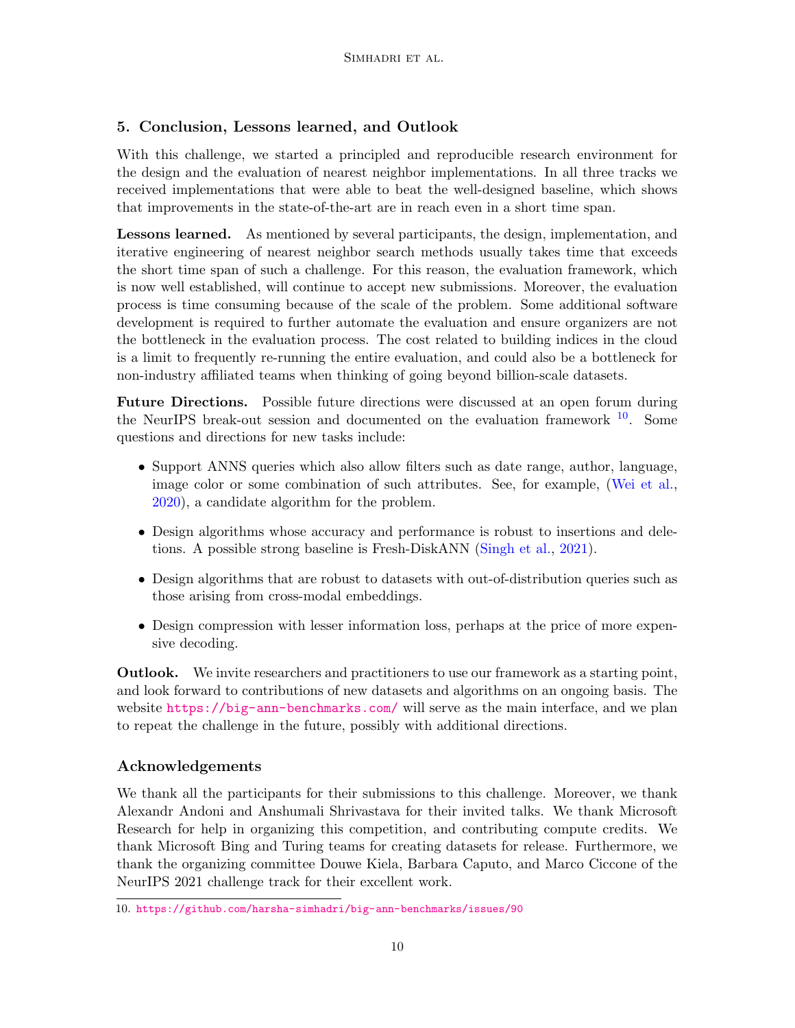# 5. Conclusion, Lessons learned, and Outlook

With this challenge, we started a principled and reproducible research environment for the design and the evaluation of nearest neighbor implementations. In all three tracks we received implementations that were able to beat the well-designed baseline, which shows that improvements in the state-of-the-art are in reach even in a short time span.

**Lessons learned.** As mentioned by several participants, the design, implementation, and iterative engineering of nearest neighbor search methods usually takes time that exceeds the short time span of such a challenge. For this reason, the evaluation framework, which is now well established, will continue to accept new submissions. Moreover, the evaluation process is time consuming because of the scale of the problem. Some additional software development is required to further automate the evaluation and ensure organizers are not the bottleneck in the evaluation process. The cost related to building indices in the cloud is a limit to frequently re-running the entire evaluation, and could also be a bottleneck for non-industry affiliated teams when thinking of going beyond billion-scale datasets.

Future Directions. Possible future directions were discussed at an open forum during the NeurIPS break-out session and documented on the evaluation framework  $10$ . Some questions and directions for new tasks include:

- Support ANNS queries which also allow filters such as date range, author, language, image color or some combination of such attributes. See, for example, [\(Wei et al.,](#page-12-7) [2020\)](#page-12-7), a candidate algorithm for the problem.
- Design algorithms whose accuracy and performance is robust to insertions and deletions. A possible strong baseline is Fresh-DiskANN [\(Singh et al.,](#page-11-11) [2021\)](#page-11-11).
- Design algorithms that are robust to datasets with out-of-distribution queries such as those arising from cross-modal embeddings.
- Design compression with lesser information loss, perhaps at the price of more expensive decoding.

Outlook. We invite researchers and practitioners to use our framework as a starting point, and look forward to contributions of new datasets and algorithms on an ongoing basis. The website <https://big-ann-benchmarks.com/> will serve as the main interface, and we plan to repeat the challenge in the future, possibly with additional directions.

## Acknowledgements

We thank all the participants for their submissions to this challenge. Moreover, we thank Alexandr Andoni and Anshumali Shrivastava for their invited talks. We thank Microsoft Research for help in organizing this competition, and contributing compute credits. We thank Microsoft Bing and Turing teams for creating datasets for release. Furthermore, we thank the organizing committee Douwe Kiela, Barbara Caputo, and Marco Ciccone of the NeurIPS 2021 challenge track for their excellent work.

<span id="page-9-0"></span><sup>10.</sup> <https://github.com/harsha-simhadri/big-ann-benchmarks/issues/90>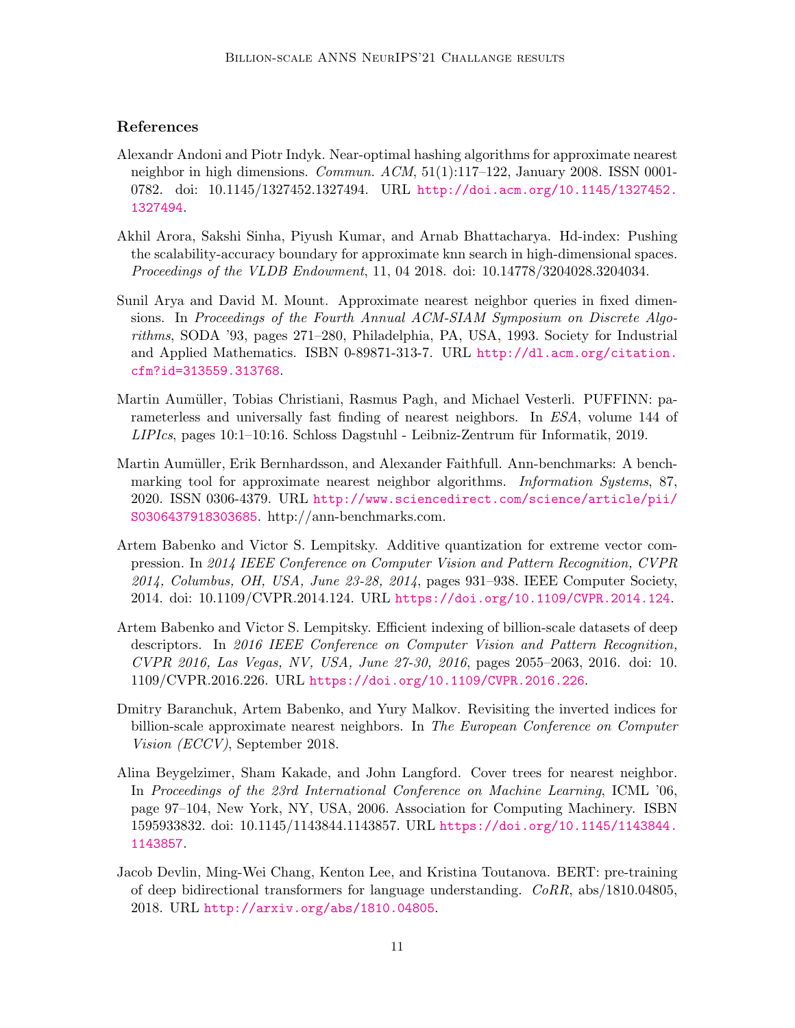### References

- <span id="page-10-8"></span>Alexandr Andoni and Piotr Indyk. Near-optimal hashing algorithms for approximate nearest neighbor in high dimensions. Commun. ACM, 51(1):117–122, January 2008. ISSN 0001- 0782. doi: 10.1145/1327452.1327494. URL [http://doi.acm.org/10.1145/1327452.](http://doi.acm.org/10.1145/1327452.1327494) [1327494](http://doi.acm.org/10.1145/1327452.1327494).
- <span id="page-10-9"></span>Akhil Arora, Sakshi Sinha, Piyush Kumar, and Arnab Bhattacharya. Hd-index: Pushing the scalability-accuracy boundary for approximate knn search in high-dimensional spaces. Proceedings of the VLDB Endowment, 11, 04 2018. doi: 10.14778/3204028.3204034.
- <span id="page-10-6"></span>Sunil Arya and David M. Mount. Approximate nearest neighbor queries in fixed dimensions. In Proceedings of the Fourth Annual ACM-SIAM Symposium on Discrete Algorithms, SODA '93, pages 271–280, Philadelphia, PA, USA, 1993. Society for Industrial and Applied Mathematics. ISBN 0-89871-313-7. URL [http://dl.acm.org/citation.](http://dl.acm.org/citation.cfm?id=313559.313768) [cfm?id=313559.313768](http://dl.acm.org/citation.cfm?id=313559.313768).
- <span id="page-10-7"></span>Martin Aumüller, Tobias Christiani, Rasmus Pagh, and Michael Vesterli. PUFFINN: parameterless and universally fast finding of nearest neighbors. In ESA, volume 144 of  $LIPIcs$ , pages 10:1–10:16. Schloss Dagstuhl - Leibniz-Zentrum für Informatik, 2019.
- <span id="page-10-0"></span>Martin Aumüller, Erik Bernhardsson, and Alexander Faithfull. Ann-benchmarks: A benchmarking tool for approximate nearest neighbor algorithms. *Information Systems*, 87, 2020. ISSN 0306-4379. URL [http://www.sciencedirect.com/science/article/pii/](http://www.sciencedirect.com/science/article/pii/S0306437918303685) [S0306437918303685](http://www.sciencedirect.com/science/article/pii/S0306437918303685). http://ann-benchmarks.com.
- <span id="page-10-4"></span>Artem Babenko and Victor S. Lempitsky. Additive quantization for extreme vector compression. In 2014 IEEE Conference on Computer Vision and Pattern Recognition, CVPR 2014, Columbus, OH, USA, June 23-28, 2014, pages 931–938. IEEE Computer Society, 2014. doi: 10.1109/CVPR.2014.124. URL <https://doi.org/10.1109/CVPR.2014.124>.
- <span id="page-10-1"></span>Artem Babenko and Victor S. Lempitsky. Efficient indexing of billion-scale datasets of deep descriptors. In 2016 IEEE Conference on Computer Vision and Pattern Recognition, CVPR 2016, Las Vegas, NV, USA, June 27-30, 2016, pages 2055–2063, 2016. doi: 10. 1109/CVPR.2016.226. URL <https://doi.org/10.1109/CVPR.2016.226>.
- <span id="page-10-5"></span>Dmitry Baranchuk, Artem Babenko, and Yury Malkov. Revisiting the inverted indices for billion-scale approximate nearest neighbors. In The European Conference on Computer Vision (ECCV), September 2018.
- <span id="page-10-3"></span>Alina Beygelzimer, Sham Kakade, and John Langford. Cover trees for nearest neighbor. In Proceedings of the 23rd International Conference on Machine Learning, ICML '06, page 97–104, New York, NY, USA, 2006. Association for Computing Machinery. ISBN 1595933832. doi: 10.1145/1143844.1143857. URL [https://doi.org/10.1145/1143844.](https://doi.org/10.1145/1143844.1143857) [1143857](https://doi.org/10.1145/1143844.1143857).
- <span id="page-10-2"></span>Jacob Devlin, Ming-Wei Chang, Kenton Lee, and Kristina Toutanova. BERT: pre-training of deep bidirectional transformers for language understanding. CoRR, abs/1810.04805, 2018. URL <http://arxiv.org/abs/1810.04805>.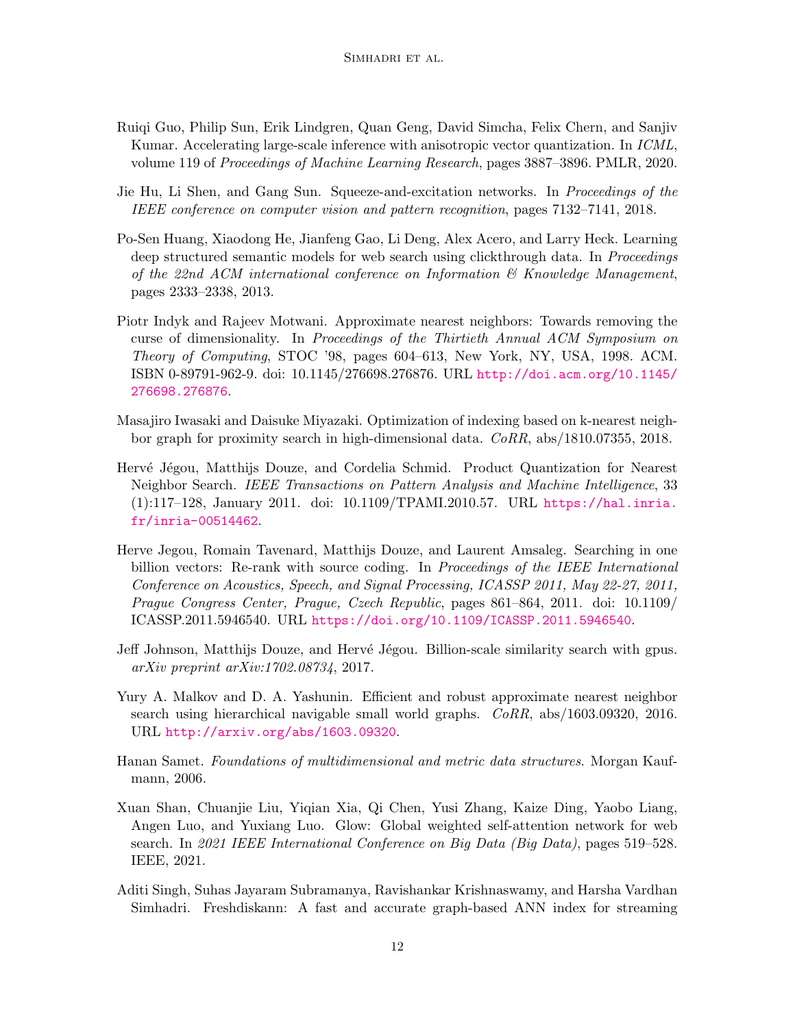- <span id="page-11-5"></span>Ruiqi Guo, Philip Sun, Erik Lindgren, Quan Geng, David Simcha, Felix Chern, and Sanjiv Kumar. Accelerating large-scale inference with anisotropic vector quantization. In ICML, volume 119 of Proceedings of Machine Learning Research, pages 3887–3896. PMLR, 2020.
- <span id="page-11-9"></span>Jie Hu, Li Shen, and Gang Sun. Squeeze-and-excitation networks. In *Proceedings of the* IEEE conference on computer vision and pattern recognition, pages 7132–7141, 2018.
- <span id="page-11-10"></span>Po-Sen Huang, Xiaodong He, Jianfeng Gao, Li Deng, Alex Acero, and Larry Heck. Learning deep structured semantic models for web search using clickthrough data. In *Proceedings* of the 22nd ACM international conference on Information  $\mathcal{B}$  Knowledge Management, pages 2333–2338, 2013.
- <span id="page-11-3"></span>Piotr Indyk and Rajeev Motwani. Approximate nearest neighbors: Towards removing the curse of dimensionality. In Proceedings of the Thirtieth Annual ACM Symposium on Theory of Computing, STOC '98, pages 604–613, New York, NY, USA, 1998. ACM. ISBN 0-89791-962-9. doi: 10.1145/276698.276876. URL [http://doi.acm.org/10.1145/](http://doi.acm.org/10.1145/276698.276876) [276698.276876](http://doi.acm.org/10.1145/276698.276876).
- <span id="page-11-4"></span>Masajiro Iwasaki and Daisuke Miyazaki. Optimization of indexing based on k-nearest neighbor graph for proximity search in high-dimensional data. CoRR, abs/1810.07355, 2018.
- <span id="page-11-2"></span>Hervé Jégou, Matthijs Douze, and Cordelia Schmid. Product Quantization for Nearest Neighbor Search. IEEE Transactions on Pattern Analysis and Machine Intelligence, 33 (1):117–128, January 2011. doi: 10.1109/TPAMI.2010.57. URL [https://hal.inria.](https://hal.inria.fr/inria-00514462) [fr/inria-00514462](https://hal.inria.fr/inria-00514462).
- <span id="page-11-7"></span>Herve Jegou, Romain Tavenard, Matthijs Douze, and Laurent Amsaleg. Searching in one billion vectors: Re-rank with source coding. In Proceedings of the IEEE International Conference on Acoustics, Speech, and Signal Processing, ICASSP 2011, May 22-27, 2011, Prague Congress Center, Prague, Czech Republic, pages 861–864, 2011. doi: 10.1109/ ICASSP.2011.5946540. URL <https://doi.org/10.1109/ICASSP.2011.5946540>.
- <span id="page-11-0"></span>Jeff Johnson, Matthijs Douze, and Hervé Jégou. Billion-scale similarity search with gpus. arXiv preprint arXiv:1702.08734, 2017.
- <span id="page-11-1"></span>Yury A. Malkov and D. A. Yashunin. Efficient and robust approximate nearest neighbor search using hierarchical navigable small world graphs. CoRR, abs/1603.09320, 2016. URL <http://arxiv.org/abs/1603.09320>.
- <span id="page-11-6"></span>Hanan Samet. Foundations of multidimensional and metric data structures. Morgan Kaufmann, 2006.
- <span id="page-11-8"></span>Xuan Shan, Chuanjie Liu, Yiqian Xia, Qi Chen, Yusi Zhang, Kaize Ding, Yaobo Liang, Angen Luo, and Yuxiang Luo. Glow: Global weighted self-attention network for web search. In 2021 IEEE International Conference on Big Data (Big Data), pages 519–528. IEEE, 2021.
- <span id="page-11-11"></span>Aditi Singh, Suhas Jayaram Subramanya, Ravishankar Krishnaswamy, and Harsha Vardhan Simhadri. Freshdiskann: A fast and accurate graph-based ANN index for streaming